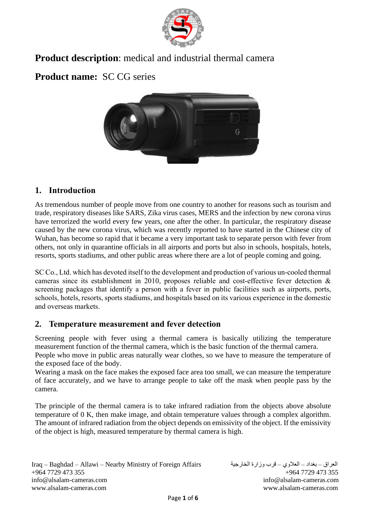

# **Product description**: medical and industrial thermal camera

# **Product name:** SC CG series



# **1. Introduction**

As tremendous number of people move from one country to another for reasons such as tourism and trade, respiratory diseases like SARS, Zika virus cases, MERS and the infection by new corona virus have terrorized the world every few years, one after the other. In particular, the respiratory disease caused by the new corona virus, which was recently reported to have started in the Chinese city of Wuhan, has become so rapid that it became a very important task to separate person with fever from others, not only in quarantine officials in all airports and ports but also in schools, hospitals, hotels, resorts, sports stadiums, and other public areas where there are a lot of people coming and going.

SC Co., Ltd. which has devoted itself to the development and production of various un-cooled thermal cameras since its establishment in 2010, proposes reliable and cost-effective fever detection & screening packages that identify a person with a fever in public facilities such as airports, ports, schools, hotels, resorts, sports stadiums, and hospitals based on its various experience in the domestic and overseas markets.

## **2. Temperature measurement and fever detection**

Screening people with fever using a thermal camera is basically utilizing the temperature measurement function of the thermal camera, which is the basic function of the thermal camera. People who move in public areas naturally wear clothes, so we have to measure the temperature of the exposed face of the body.

Wearing a mask on the face makes the exposed face area too small, we can measure the temperature of face accurately, and we have to arrange people to take off the mask when people pass by the camera.

The principle of the thermal camera is to take infrared radiation from the objects above absolute temperature of 0 K, then make image, and obtain temperature values through a complex algorithm. The amount of infrared radiation from the object depends on emissivity of the object. If the emissivity of the object is high, measured temperature by thermal camera is high.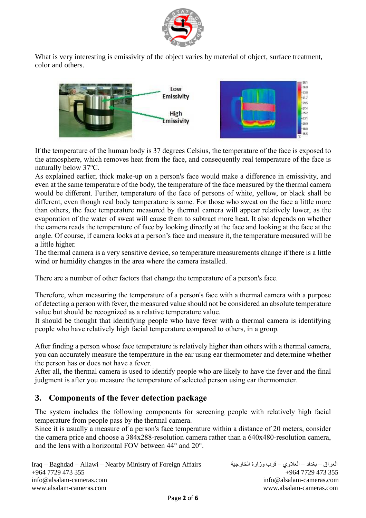

What is very interesting is emissivity of the object varies by material of object, surface treatment, color and others.



If the temperature of the human body is 37 degrees Celsius, the temperature of the face is exposed to the atmosphere, which removes heat from the face, and consequently real temperature of the face is naturally below 37℃.

As explained earlier, thick make-up on a person's face would make a difference in emissivity, and even at the same temperature of the body, the temperature of the face measured by the thermal camera would be different. Further, temperature of the face of persons of white, yellow, or black shall be different, even though real body temperature is same. For those who sweat on the face a little more than others, the face temperature measured by thermal camera will appear relatively lower, as the evaporation of the water of sweat will cause them to subtract more heat. It also depends on whether the camera reads the temperature of face by looking directly at the face and looking at the face at the angle. Of course, if camera looks at a person's face and measure it, the temperature measured will be a little higher.

The thermal camera is a very sensitive device, so temperature measurements change if there is a little wind or humidity changes in the area where the camera installed.

There are a number of other factors that change the temperature of a person's face.

Therefore, when measuring the temperature of a person's face with a thermal camera with a purpose of detecting a person with fever, the measured value should not be considered an absolute temperature value but should be recognized as a relative temperature value.

It should be thought that identifying people who have fever with a thermal camera is identifying people who have relatively high facial temperature compared to others, in a group.

After finding a person whose face temperature is relatively higher than others with a thermal camera, you can accurately measure the temperature in the ear using ear thermometer and determine whether the person has or does not have a fever.

After all, the thermal camera is used to identify people who are likely to have the fever and the final judgment is after you measure the temperature of selected person using ear thermometer.

## **3. Components of the fever detection package**

The system includes the following components for screening people with relatively high facial temperature from people pass by the thermal camera.

Since it is usually a measure of a person's face temperature within a distance of 20 meters, consider the camera price and choose a 384x288-resolution camera rather than a 640x480-resolution camera, and the lens with a horizontal FOV between 44° and 20°.

```
Iraq – Baghdad – Allawi – Nearby Ministry of Foreign Affairs الخارجية وزارة قرب – العالوي – بغداد – العراق
+964 7729 473 355 +964 7729 473 355
info@alsalam-cameras.com info@alsalam-cameras.com
www.alsalam-cameras.com www.alsalam-cameras.com
```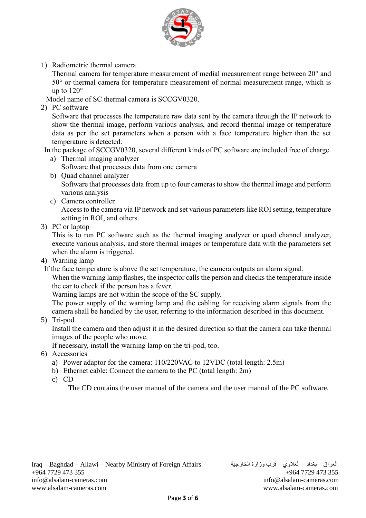

1) Radiometric thermal camera

Thermal camera for temperature measurement of medial measurement range between 20° and 50° or thermal camera for temperature measurement of normal measurement range, which is up to 120°

Model name of SC thermal camera is SCCGV0320.

2) PC software

Software that processes the temperature raw data sent by the camera through the IP network to show the thermal image, perform various analysis, and record thermal image or temperature data as per the set parameters when a person with a face temperature higher than the set temperature is detected.

 In the package of SCCGV0320, several different kinds of PC software are included free of charge. a) Thermal imaging analyzer

- Software that processes data from one camera
- b) Quad channel analyzer Software that processes data from up to four cameras to show the thermal image and perform various analysis
- c) Camera controller

Access to the camera via IP network and set various parameters like ROI setting, temperature setting in ROI, and others.

3) PC or laptop

This is to run PC software such as the thermal imaging analyzer or quad channel analyzer, execute various analysis, and store thermal images or temperature data with the parameters set when the alarm is triggered.

- 4) Warning lamp
- If the face temperature is above the set temperature, the camera outputs an alarm signal.

When the warning lamp flashes, the inspector calls the person and checks the temperature inside the ear to check if the person has a fever.

Warning lamps are not within the scope of the SC supply.

The power supply of the warning lamp and the cabling for receiving alarm signals from the camera shall be handled by the user, referring to the information described in this document.

5) Tri-pod

Install the camera and then adjust it in the desired direction so that the camera can take thermal images of the people who move.

If necessary, install the warning lamp on the tri-pod, too.

- 6) Accessories
	- a) Power adaptor for the camera: 110/220VAC to 12VDC (total length: 2.5m)
	- b) Ethernet cable: Connect the camera to the PC (total length: 2m)
	- c) CD

The CD contains the user manual of the camera and the user manual of the PC software.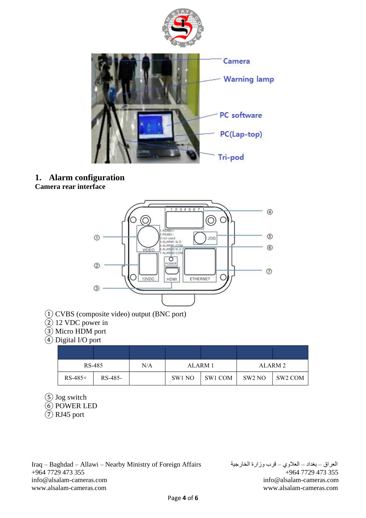

#### **1. Alarm configuration Camera rear interface**



- ① CVBS (composite video) output (BNC port)
- ② 12 VDC power in
- ③ Micro HDM port
- ④ Digital I/O port

| RS-485    |         | N/A | ALARM 1 |         | ALARM 2 |         |
|-----------|---------|-----|---------|---------|---------|---------|
| $RS-485+$ | RS-485- |     | SW1 NO  | SW1 COM | SW2 NO  | SW2 COM |

- ⑤ Jog switch
- ⑥ POWER LED

 $(7)$  RJ45 port

Iraq – Baghdad – Allawi – Nearby Ministry of Foreign Affairs الخارجية وزارة قرب – العالوي – بغداد – العراق +964 7729 473 355 +964 7729 473 355 [info@alsalam-cameras.com](mailto:info@alsalam-cameras.com) [info@alsalam-cameras.com](mailto:info@alsalam-cameras.com) [www.alsalam-cameras.com](http://www.alsalam-cameras.com/) www.alsalam-cameras.com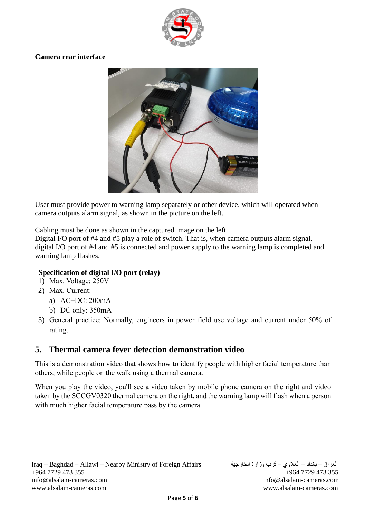

#### **Camera rear interface**



User must provide power to warning lamp separately or other device, which will operated when camera outputs alarm signal, as shown in the picture on the left.

Cabling must be done as shown in the captured image on the left.

Digital I/O port of #4 and #5 play a role of switch. That is, when camera outputs alarm signal, digital I/O port of #4 and #5 is connected and power supply to the warning lamp is completed and warning lamp flashes.

#### **Specification of digital I/O port (relay)**

- 1) Max. Voltage: 250V
- 2) Max. Current:
	- a) AC+DC: 200mA
	- b) DC only: 350mA
- 3) General practice: Normally, engineers in power field use voltage and current under 50% of rating.

## **5. Thermal camera fever detection demonstration video**

This is a demonstration video that shows how to identify people with higher facial temperature than others, while people on the walk using a thermal camera.

When you play the video, you'll see a video taken by mobile phone camera on the right and video taken by the SCCGV0320 thermal camera on the right, and the warning lamp will flash when a person with much higher facial temperature pass by the camera.